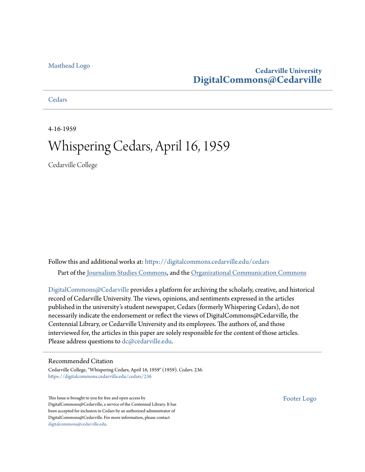### [Masthead Logo](http://www.cedarville.edu/?utm_source=digitalcommons.cedarville.edu%2Fcedars%2F236&utm_medium=PDF&utm_campaign=PDFCoverPages)

### **Cedarville University [DigitalCommons@Cedarville](https://digitalcommons.cedarville.edu?utm_source=digitalcommons.cedarville.edu%2Fcedars%2F236&utm_medium=PDF&utm_campaign=PDFCoverPages)**

**[Cedars](https://digitalcommons.cedarville.edu/cedars?utm_source=digitalcommons.cedarville.edu%2Fcedars%2F236&utm_medium=PDF&utm_campaign=PDFCoverPages)** 

4-16-1959

## Whispering Cedars, April 16, 1959

Cedarville College

Follow this and additional works at: [https://digitalcommons.cedarville.edu/cedars](https://digitalcommons.cedarville.edu/cedars?utm_source=digitalcommons.cedarville.edu%2Fcedars%2F236&utm_medium=PDF&utm_campaign=PDFCoverPages) Part of the [Journalism Studies Commons](http://network.bepress.com/hgg/discipline/333?utm_source=digitalcommons.cedarville.edu%2Fcedars%2F236&utm_medium=PDF&utm_campaign=PDFCoverPages), and the [Organizational Communication Commons](http://network.bepress.com/hgg/discipline/335?utm_source=digitalcommons.cedarville.edu%2Fcedars%2F236&utm_medium=PDF&utm_campaign=PDFCoverPages)

[DigitalCommons@Cedarville](http://digitalcommons.cedarville.edu/) provides a platform for archiving the scholarly, creative, and historical record of Cedarville University. The views, opinions, and sentiments expressed in the articles published in the university's student newspaper, Cedars (formerly Whispering Cedars), do not necessarily indicate the endorsement or reflect the views of DigitalCommons@Cedarville, the Centennial Library, or Cedarville University and its employees. The authors of, and those interviewed for, the articles in this paper are solely responsible for the content of those articles. Please address questions to [dc@cedarville.edu.](mailto:dc@cedarville.edu)

### Recommended Citation

Cedarville College, "Whispering Cedars, April 16, 1959" (1959). *Cedars*. 236. [https://digitalcommons.cedarville.edu/cedars/236](https://digitalcommons.cedarville.edu/cedars/236?utm_source=digitalcommons.cedarville.edu%2Fcedars%2F236&utm_medium=PDF&utm_campaign=PDFCoverPages)

This Issue is brought to you for free and open access by DigitalCommons@Cedarville, a service of the Centennial Library. It has been accepted for inclusion in Cedars by an authorized administrator of DigitalCommons@Cedarville. For more information, please contact [digitalcommons@cedarville.edu](mailto:digitalcommons@cedarville.edu).

[Footer Logo](http://www.cedarville.edu/Academics/Library.aspx?utm_source=digitalcommons.cedarville.edu%2Fcedars%2F236&utm_medium=PDF&utm_campaign=PDFCoverPages)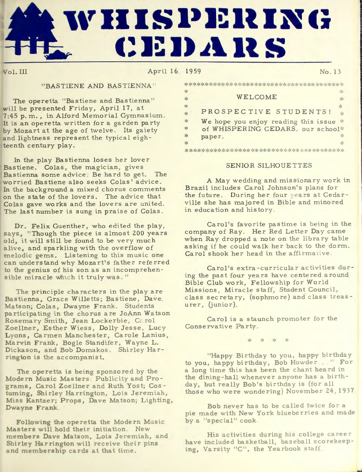# **l\' II IS i>J~ ll IN c; c:1;:1,i~ Its**

Vol. III April 16 1959 No . 13

**I** 

### "BASTIENE AND BASTIENNA"

The operetta "Bastiene and Bastienna" will be presented Friday, April 17, at 7:45 p.m., in Alford Memorial Gymnasium. It is an operetta written for a garden party by Mozart at the age of twelve. Its gaiety and lightness represent the typical eighteenth century play.

In the play Bastienna loses her lover Bastiene. Colas, the magician, gives Bastienna some advice: Be hard to get. The worried Bastiene also seeks Colas' advice. In the background a mixed chorus comments on the state of the lovers. The advice that Colas gave works and the lovers are united. The last number is sung in praise of Colas.

Dr. Felix Guenther, who edited the play, says, "Though the piece is almost 200 years old, it will still be found to be very much alive, and sparkling with the overflow of melodic gems. Listening to this music one can understand why Mozart's father referred to the genius of his son as an incomprehensible miracle which it truly was."

The principle characters in the play are Bastienna, Grace Willetts; Bastiene, Dave. Matson; Colas, Dwayne Frank. Students participating in the chorus are JoAnn Watson Rosemary Smith, Jean Lockerbie, Carol Zoellner, Esther Wiess, Dolly Jesse, Lucy Lyons, Carmen Manchester, Carole Lanius, Marvin Frank, Bogle Standifer, Wayne L. Dickason, and Bob Domakos. Shirley Harrington is the accompanist.

The operetta is being sponsored by the Modern Music Masters Publicity and Programs, Carol Zoellner and Ruth Yost; Costuming, Shirley Harrington, Lois Jeremiah, Miss Kantzer; Props, Dave Matson; Lighting, Dwayne Frank.

Following the operetta the Modern Music Masters will hold their initiation. New members Dave Matson, Lois Jeremiah, and Shirley Harrington will receive their pins and membership cards at that time.

| 氺                 |                                      | $\mathcal{Z}^{\prime}_{\mathcal{S}}$ |
|-------------------|--------------------------------------|--------------------------------------|
| $\frac{1}{2}$     | WELCOME                              | 氺                                    |
| $*$               |                                      | ☆                                    |
| 水                 | PROSPECTIVE STUDENTS!                | $\frac{1}{2}$                        |
| $\frac{1}{2} \xi$ | We hope you enjoy reading this issue | $\frac{c^2}{c^2}$                    |
| $*$               | of WHISPERING CEDARS, our school*    |                                      |
| 氺                 | paper.                               | 水                                    |
| 氺                 |                                      | ⋇                                    |

#### SENIOR SILHOUETTES

A May we dding and missionary work in Brazil includes Carol Johnson's plans for the future. During her four years at Cedarville she has majored in Bible and minored in education and history.

Carol's favorite pastime is being in the company of Ray. Her Red Letter Day came when Ray dropped a note on the library table asking if he could walk her back to the dorm. Carol shook her head in the affirmative.

Carol's extra-curricular activities during the past four years have centered around Bible Club work, Fellowship for World Missions, Miracle staff, Student Council, class secretary, (sophmore) and class treasurer, (junior).

Carol is a staunch promoter for the Conservative Party.

"Happy Birthday to you, happy birthday to you, happy birthday, Bob Howder . " For a long time this has been the chant heard in the dining-hall whenever anyone has a birthday, but really Bob's birthday is (for all those who were wondering) November  $24, 1937$ 

Bob never has to be called twice for a pie made with New York blueberries and made by a "special" cook.

His activities during his college career have included basketball, baseball scorekeeping, Varsity "C", the Yearbook staff